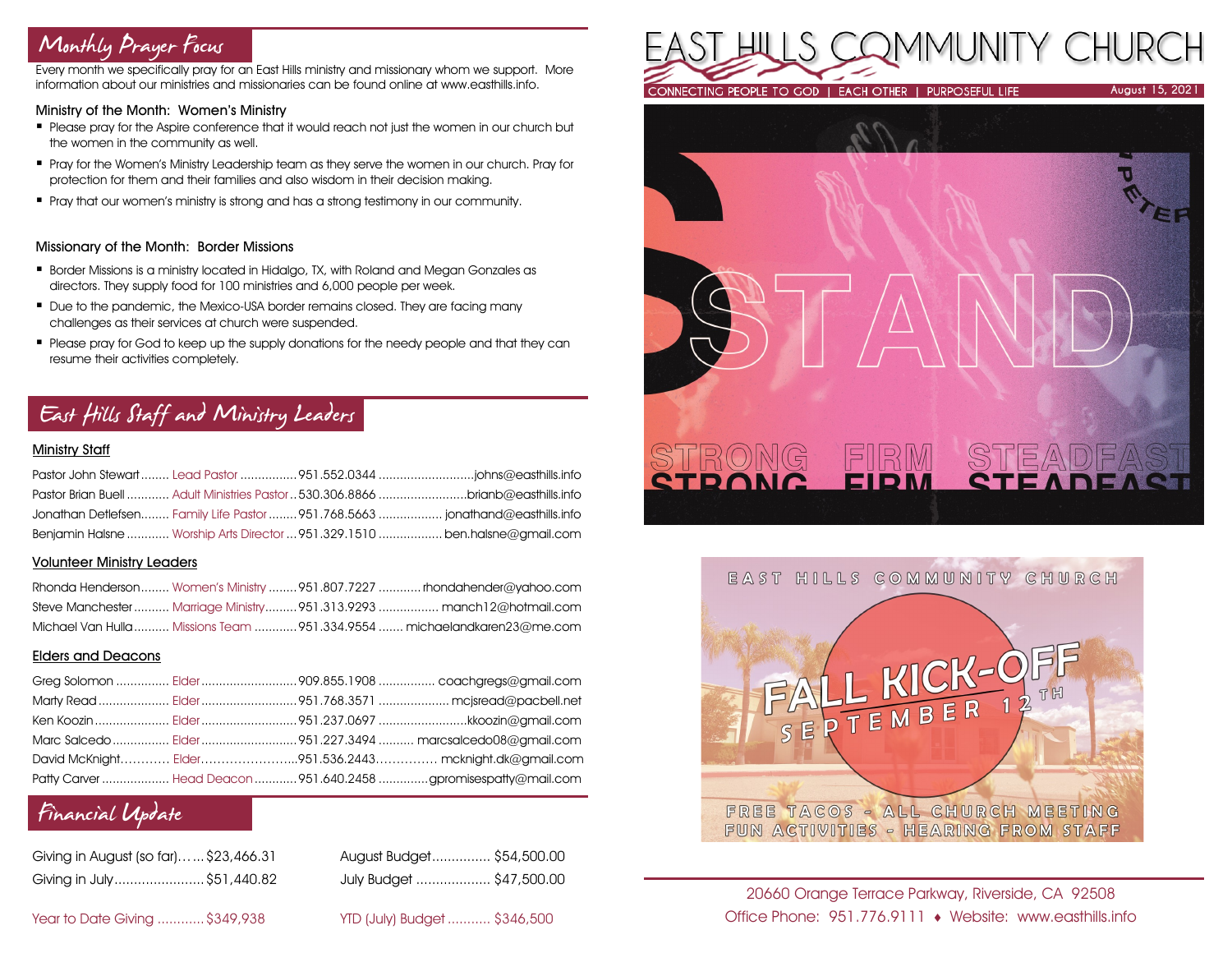# Monthly Prayer Focus

Every month we specifically pray for an East Hills ministry and missionary whom we support. More information about our ministries and missionaries can be found online at www.easthills.info.

#### Ministry of the Month: Women's Ministry

- **Please pray for the Aspire conference that it would reach not just the women in our church but** the women in the community as well.
- **Pray for the Women's Ministry Leadership team as they serve the women in our church. Pray for** protection for them and their families and also wisdom in their decision making.
- **•** Pray that our women's ministry is strong and has a strong testimony in our community.

### Missionary of the Month: Border Missions

- Border Missions is a ministry located in Hidalgo, TX, with Roland and Megan Gonzales as directors. They supply food for 100 ministries and 6,000 people per week.
- Due to the pandemic, the Mexico-USA border remains closed. They are facing many challenges as their services at church were suspended.
- Please pray for God to keep up the supply donations for the needy people and that they can resume their activities completely.

# East Hills Staff and Ministry Leaders

### Ministry Staff

|  | Pastor Brian Buell  Adult Ministries Pastor  530,306,8866 brianb@easthills.info |
|--|---------------------------------------------------------------------------------|
|  | Jonathan Detlefsen Family Life Pastor 951.768.5663  jonathand@easthills.info    |
|  | Benjamin Halsne  Worship Arts Director  951.329.1510  ben.halsne@gmail.com      |

### Volunteer Ministry Leaders

|  | Rhonda Henderson Women's Ministry  951.807.7227  rhondahender@yahoo.com  |
|--|--------------------------------------------------------------------------|
|  | Steve Manchester  Marriage Ministry  951.313.9293  manch12@hotmail.com   |
|  | Michael Van Hulla  Missions Team  951.334.9554  michaelandkaren23@me.com |

### Elders and Deacons

|  | Ken Koozin  Elder 951.237.0697 kkoozin@gmail.com                |
|--|-----------------------------------------------------------------|
|  |                                                                 |
|  | David McKnight Elder951.536.2443 mcknight.dk@gmail.com          |
|  | Patty Carver  Head Deacon  951.640.2458 gpromisespatty@mail.com |

# Financial Update

| Giving in August (so far) \$23,466.31 | August Budget \$54,500.00 |  |
|---------------------------------------|---------------------------|--|
| Giving in July \$51,440.82            | July Budget  \$47,500.00  |  |

| August Budget \$54,500.00 |  |
|---------------------------|--|
| July Budget  \$47,500.00  |  |

Year to Date Giving ............\$349,938 YTD (July) Budget ........... \$346,500







20660 Orange Terrace Parkway, Riverside, CA 92508 Office Phone: 951.776.9111 Website: www.easthills.info